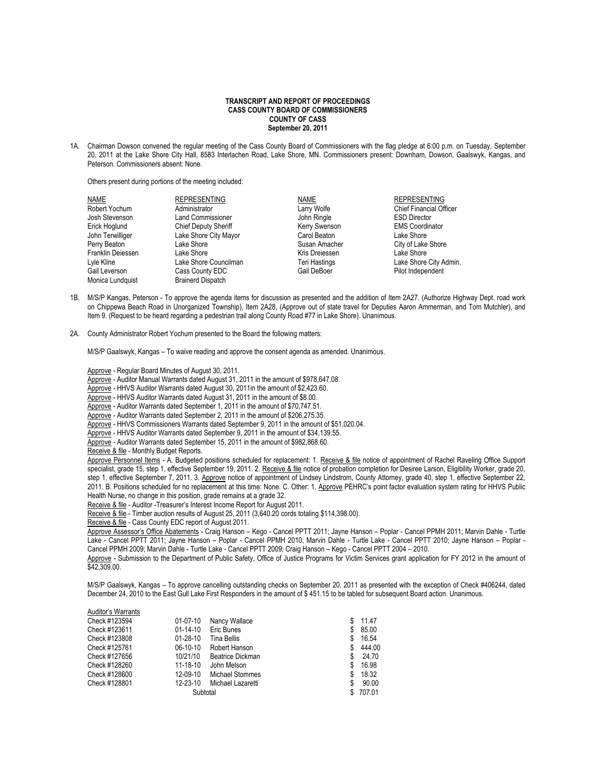## **TRANSCRIPT AND REPORT OF PROCEEDINGS CASS COUNTY BOARD OF COMMISSIONERS COUNTY OF CASS September 20, 2011**

1A. Chairman Dowson convened the regular meeting of the Cass County Board of Commissioners with the flag pledge at 6:00 p.m. on Tuesday, September 20, 2011 at the Lake Shore City Hall, 8583 Interlachen Road, Lake Shore, MN. Commissioners present: Downham, Dowson, Gaalswyk, Kangas, and Peterson. Commissioners absent: None.

Others present during portions of the meeting included:

| <b>NAME</b>       | <b>REPRESENTING</b>         | NAME           | <b>REPRESENTING</b>            |
|-------------------|-----------------------------|----------------|--------------------------------|
| Robert Yochum     | Administrator               | Larry Wolfe    | <b>Chief Financial Officer</b> |
| Josh Stevenson    | <b>Land Commissioner</b>    | John Ringle    | <b>ESD Director</b>            |
| Erick Hoglund     | <b>Chief Deputy Sheriff</b> | Kerry Swenson  | <b>EMS Coordinator</b>         |
| John Terwilliger  | Lake Shore City Mayor       | Carol Beaton   | Lake Shore                     |
| Perry Beaton      | Lake Shore                  | Susan Amacher  | City of Lake Shore             |
| Franklin Deiessen | Lake Shore                  | Kris Dreiessen | Lake Shore                     |
| Lyle Kline        | Lake Shore Councilman       | Teri Hastings  | Lake Shore City Admin.         |
| Gail Leverson     | Cass County EDC             | Gail DeBoer    | Pilot Independent              |
| Monica Lundquist  | <b>Brainerd Dispatch</b>    |                |                                |

- 1B. M/S/P Kangas, Peterson To approve the agenda items for discussion as presented and the addition of Item 2A27. (Authorize Highway Dept. road work on Chippewa Beach Road in Unorganized Township), Item 2A28, (Approve out of state travel for Deputies Aaron Ammerman, and Tom Mutchler), and Item 9. (Request to be heard regarding a pedestrian trail along County Road #77 in Lake Shore). Unanimous.
- 2A. County Administrator Robert Yochum presented to the Board the following matters:

M/S/P Gaalswyk, Kangas – To waive reading and approve the consent agenda as amended. Unanimous.

Approve - Regular Board Minutes of August 30, 2011.

- Approve Auditor Manual Warrants dated August 31, 2011 in the amount of \$978,647.08.
- Approve HHVS Auditor Warrants dated August 30, 2011in the amount of \$2,423.60.
- Approve HHVS Auditor Warrants dated August 31, 2011 in the amount of \$8.00.
- Approve Auditor Warrants dated September 1, 2011 in the amount of \$70,747.51.
- Approve Auditor Warrants dated September 2, 2011 in the amount of \$206,275.35.
- Approve HHVS Commissioners Warrants dated September 9, 2011 in the amount of \$51,020.04.
- Approve HHVS Auditor Warrants dated September 9, 2011 in the amount of \$34,139.55.
- Approve Auditor Warrants dated September 15, 2011 in the amount of \$982,868.60.
- Receive & file Monthly Budget Reports.

Approve Personnel Items - A. Budgeted positions scheduled for replacement: 1. Receive & file notice of appointment of Rachel Raveling Office Support specialist, grade 15, step 1, effective September 19, 2011. 2. Receive & file notice of probation completion for Desiree Larson, Eligibility Worker, grade 20, step 1, effective September 7, 2011. 3. Approve notice of appointment of Lindsey Lindstrom, County Attorney, grade 40, step 1, effective September 22, 2011. B. Positions scheduled for no replacement at this time: None. C. Other: 1. Approve PEHRC's point factor evaluation system rating for HHVS Public Health Nurse, no change in this position, grade remains at a grade 32.

- Receive & file Auditor -Treasurer's Interest Income Report for August 2011.
- Receive & file Timber auction results of August 25, 2011 (3,640.20 cords totaling \$114,398.00).

Receive & file - Cass County EDC report of August 2011.

Approve Assessor's Office Abatements - Craig Hanson – Kego - Cancel PPTT 2011; Jayne Hanson – Poplar - Cancel PPMH 2011; Marvin Dahle - Turtle Lake - Cancel PPTT 2011; Jayne Hanson – Poplar - Cancel PPMH 2010; Marvin Dahle - Turtle Lake - Cancel PPTT 2010; Jayne Hanson – Poplar - Cancel PPMH 2009; Marvin Dahle - Turtle Lake - Cancel PPTT 2009; Craig Hanson – Kego - Cancel PPTT 2004 – 2010.

Approve - Submission to the Department of Public Safety, Office of Justice Programs for Victim Services grant application for FY 2012 in the amount of \$42,309.00.

M/S/P Gaalswyk, Kangas – To approve cancelling outstanding checks on September 20, 2011 as presented with the exception of Check #406244, dated December 24, 2010 to the East Gull Lake First Responders in the amount of \$ 451.15 to be tabled for subsequent Board action. Unanimous.

| Auditor's Warrants |          |  |
|--------------------|----------|--|
| $\sim$             | $\cdots$ |  |

| Check #123594 | $01-07-10$     | Nancy Wallace           |    | 11.47  |
|---------------|----------------|-------------------------|----|--------|
| Check #123611 | $01 - 14 - 10$ | Eric Bunes              | S. | 85.00  |
| Check #123808 | $01 - 28 - 10$ | Tina Bellis             |    | 16.54  |
| Check #125761 | 06-10-10       | Robert Hanson           | S. | 444.00 |
| Check #127656 | 10/21/10       | <b>Beatrice Dickman</b> |    | 24.70  |
| Check #128260 | $11 - 18 - 10$ | John Melson             | S  | 16.98  |
| Check #128600 | 12-09-10       | <b>Michael Stommes</b>  | S. | 18.32  |
| Check #128801 | 12-23-10       | Michael Lazaretti       |    | 90.00  |
|               | Subtotal       |                         |    | 707.01 |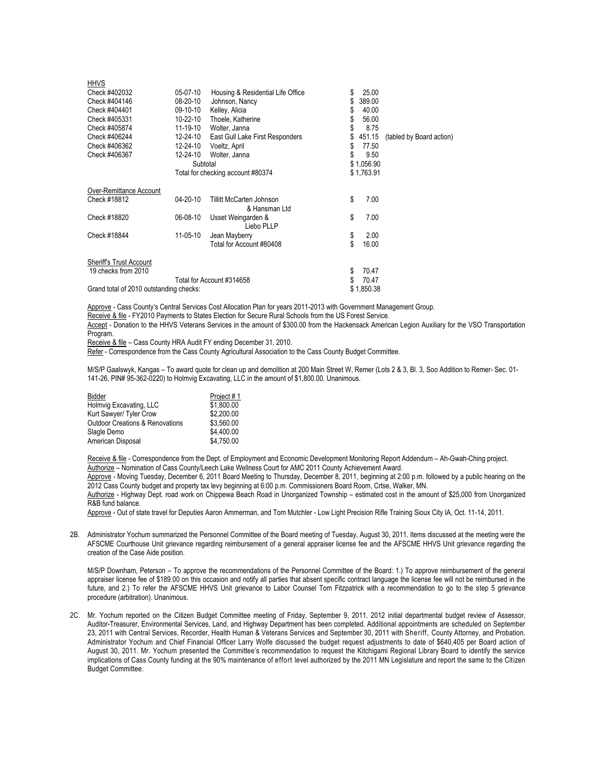| <b>HHVS</b>                                    |                |                                   |              |                          |
|------------------------------------------------|----------------|-----------------------------------|--------------|--------------------------|
| Check #402032                                  | 05-07-10       | Housing & Residential Life Office | \$<br>25.00  |                          |
| Check #404146                                  | 08-20-10       | Johnson, Nancy                    | 389.00       |                          |
| Check #404401                                  | 09-10-10       | Kelley, Alicia                    | \$<br>40.00  |                          |
| Check #405331                                  | $10 - 22 - 10$ | Thoele, Katherine                 | \$<br>56.00  |                          |
| Check #405874                                  | 11-19-10       | Wolter, Janna                     | \$<br>8.75   |                          |
| Check #406244                                  | 12-24-10       | East Gull Lake First Responders   | \$<br>451.15 | (tabled by Board action) |
| Check #406362                                  | 12-24-10       | Voeltz, April                     | \$<br>77.50  |                          |
| Check #406367                                  | 12-24-10       | Wolter, Janna                     | \$<br>9.50   |                          |
|                                                | Subtotal       |                                   | \$1,056.90   |                          |
|                                                |                | Total for checking account #80374 | \$1,763.91   |                          |
|                                                |                |                                   |              |                          |
| Over-Remittance Account                        |                |                                   |              |                          |
| Check #18812                                   | 04-20-10       | Tillitt McCarten Johnson          | \$<br>7.00   |                          |
|                                                |                | & Hansman Ltd                     |              |                          |
| Check #18820                                   | 06-08-10       | Usset Weingarden &                | \$<br>7.00   |                          |
|                                                |                | Liebo PLLP                        |              |                          |
| Check #18844                                   | 11-05-10       | Jean Mayberry                     | \$<br>2.00   |                          |
|                                                |                | Total for Account #80408          | \$<br>16.00  |                          |
|                                                |                |                                   |              |                          |
| Sheriff's Trust Account<br>19 checks from 2010 |                |                                   | \$<br>70.47  |                          |
|                                                |                | Total for Account #314658         | \$<br>70.47  |                          |
| Grand total of 2010 outstanding checks:        |                |                                   | \$1,850.38   |                          |
|                                                |                |                                   |              |                          |

Approve - Cass County's Central Services Cost Allocation Plan for years 2011-2013 with Government Management Group.

Receive & file - FY2010 Payments to States Election for Secure Rural Schools from the US Forest Service.

Accept - Donation to the HHVS Veterans Services in the amount of \$300.00 from the Hackensack American Legion Auxiliary for the VSO Transportation Program.

Receive & file – Cass County HRA Audit FY ending December 31, 2010.

Refer - Correspondence from the Cass County Agricultural Association to the Cass County Budget Committee.

M/S/P Gaalswyk, Kangas – To award quote for clean up and demolition at 200 Main Street W, Remer (Lots 2 & 3, Bl. 3, Soo Addition to Remer- Sec. 01- 141-26, PIN# 95-362-0220) to Holmvig Excavating, LLC in the amount of \$1,800.00. Unanimous.

| Bidder                                     | Project #1 |
|--------------------------------------------|------------|
| Holmvig Excavating, LLC                    | \$1.800.00 |
| Kurt Sawyer/ Tyler Crow                    | \$2.200.00 |
| <b>Outdoor Creations &amp; Renovations</b> | \$3.560.00 |
| Slagle Demo                                | \$4.400.00 |
| American Disposal                          | \$4.750.00 |

Receive & file - Correspondence from the Dept. of Employment and Economic Development Monitoring Report Addendum - Ah-Gwah-Ching project. Authorize – Nomination of Cass County/Leech Lake Wellness Court for AMC 2011 County Achievement Award.

Approve - Moving Tuesday, December 6, 2011 Board Meeting to Thursday, December 8, 2011, beginning at 2:00 p.m. followed by a public hearing on the 2012 Cass County budget and property tax levy beginning at 6:00 p.m. Commissioners Board Room, Crtse, Walker, MN.

Authorize - Highway Dept. road work on Chippewa Beach Road in Unorganized Township – estimated cost in the amount of \$25,000 from Unorganized R&B fund balance.

Approve - Out of state travel for Deputies Aaron Ammerman, and Tom Mutchler - Low Light Precision Rifle Training Sioux City IA, Oct. 11-14, 2011.

2B. Administrator Yochum summarized the Personnel Committee of the Board meeting of Tuesday, August 30, 2011. Items discussed at the meeting were the AFSCME Courthouse Unit grievance regarding reimbursement of a general appraiser license fee and the AFSCME HHVS Unit grievance regarding the creation of the Case Aide position.

M/S/P Downham, Peterson – To approve the recommendations of the Personnel Committee of the Board: 1.) To approve reimbursement of the general appraiser license fee of \$189.00 on this occasion and notify all parties that absent specific contract language the license fee will not be reimbursed in the future, and 2.) To refer the AFSCME HHVS Unit grievance to Labor Counsel Tom Fitzpatrick with a recommendation to go to the step 5 grievance procedure (arbitration). Unanimous.

2C. Mr. Yochum reported on the Citizen Budget Committee meeting of Friday, September 9, 2011. 2012 initial departmental budget review of Assessor, Auditor-Treasurer, Environmental Services, Land, and Highway Department has been completed. Additional appointments are scheduled on September 23, 2011 with Central Services, Recorder, Health Human & Veterans Services and September 30, 2011 with Sheriff, County Attorney, and Probation. Administrator Yochum and Chief Financial Officer Larry Wolfe discussed the budget request adjustments to date of \$640,405 per Board action of August 30, 2011. Mr. Yochum presented the Committee's recommendation to request the Kitchigami Regional Library Board to identify the service implications of Cass County funding at the 90% maintenance of effort level authorized by the 2011 MN Legislature and report the same to the Citizen Budget Committee.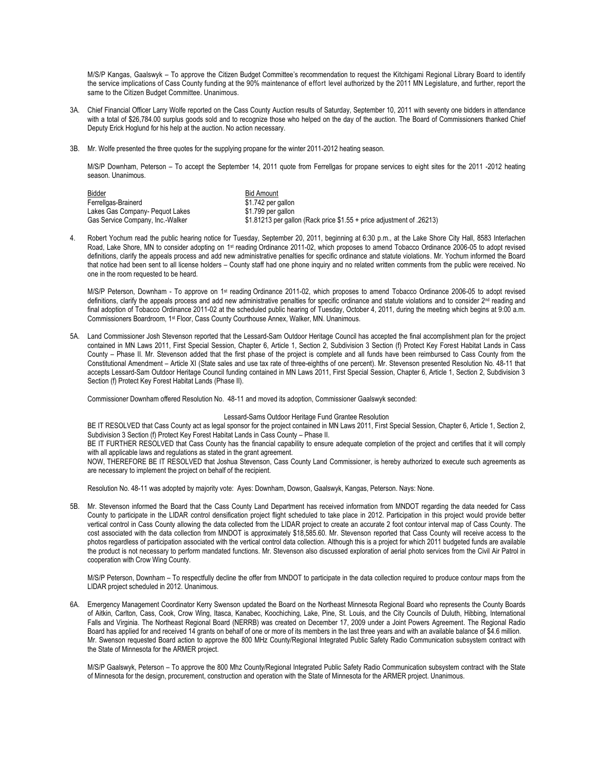M/S/P Kangas, Gaalswyk – To approve the Citizen Budget Committee's recommendation to request the Kitchigami Regional Library Board to identify the service implications of Cass County funding at the 90% maintenance of effort level authorized by the 2011 MN Legislature, and further, report the same to the Citizen Budget Committee. Unanimous.

- 3A. Chief Financial Officer Larry Wolfe reported on the Cass County Auction results of Saturday, September 10, 2011 with seventy one bidders in attendance with a total of \$26,784.00 surplus goods sold and to recognize those who helped on the day of the auction. The Board of Commissioners thanked Chief Deputy Erick Hoglund for his help at the auction. No action necessary.
- 3B. Mr. Wolfe presented the three quotes for the supplying propane for the winter 2011-2012 heating season.

M/S/P Downham, Peterson – To accept the September 14, 2011 quote from Ferrellgas for propane services to eight sites for the 2011 -2012 heating season. Unanimous.

| Bidder                           | <b>Bid Amount</b>                                                       |
|----------------------------------|-------------------------------------------------------------------------|
| Ferrellgas-Brainerd              | \$1.742 per gallon                                                      |
| Lakes Gas Company- Pequot Lakes  | \$1.799 per gallon                                                      |
| Gas Service Company, Inc.-Walker | $$1.81213$ per gallon (Rack price $$1.55 +$ price adjustment of .26213) |

4. Robert Yochum read the public hearing notice for Tuesday, September 20, 2011, beginning at 6:30 p.m., at the Lake Shore City Hall, 8583 Interlachen Road, Lake Shore, MN to consider adopting on 1st reading Ordinance 2011-02, which proposes to amend Tobacco Ordinance 2006-05 to adopt revised definitions, clarify the appeals process and add new administrative penalties for specific ordinance and statute violations. Mr. Yochum informed the Board that notice had been sent to all license holders – County staff had one phone inquiry and no related written comments from the public were received. No one in the room requested to be heard.

M/S/P Peterson, Downham - To approve on 1st reading Ordinance 2011-02, which proposes to amend Tobacco Ordinance 2006-05 to adopt revised definitions, clarify the appeals process and add new administrative penalties for specific ordinance and statute violations and to consider 2<sup>nd</sup> reading and final adoption of Tobacco Ordinance 2011-02 at the scheduled public hearing of Tuesday, October 4, 2011, during the meeting which begins at 9:00 a.m. Commissioners Boardroom, 1st Floor, Cass County Courthouse Annex, Walker, MN. Unanimous.

5A. Land Commissioner Josh Stevenson reported that the Lessard-Sam Outdoor Heritage Council has accepted the final accomplishment plan for the project contained in MN Laws 2011, First Special Session, Chapter 6, Article 1, Section 2, Subdivision 3 Section (f) Protect Key Forest Habitat Lands in Cass County – Phase II. Mr. Stevenson added that the first phase of the project is complete and all funds have been reimbursed to Cass County from the Constitutional Amendment – Article XI (State sales and use tax rate of three-eighths of one percent). Mr. Stevenson presented Resolution No. 48-11 that accepts Lessard-Sam Outdoor Heritage Council funding contained in MN Laws 2011, First Special Session, Chapter 6, Article 1, Section 2, Subdivision 3 Section (f) Protect Key Forest Habitat Lands (Phase II).

Commissioner Downham offered Resolution No. 48-11 and moved its adoption, Commissioner Gaalswyk seconded:

Lessard-Sams Outdoor Heritage Fund Grantee Resolution

BE IT RESOLVED that Cass County act as legal sponsor for the project contained in MN Laws 2011, First Special Session, Chapter 6, Article 1, Section 2, Subdivision 3 Section (f) Protect Key Forest Habitat Lands in Cass County – Phase II.

BE IT FURTHER RESOLVED that Cass County has the financial capability to ensure adequate completion of the project and certifies that it will comply with all applicable laws and regulations as stated in the grant agreement.

NOW, THEREFORE BE IT RESOLVED that Joshua Stevenson, Cass County Land Commissioner, is hereby authorized to execute such agreements as are necessary to implement the project on behalf of the recipient.

Resolution No. 48-11 was adopted by majority vote: Ayes: Downham, Dowson, Gaalswyk, Kangas, Peterson. Nays: None.

5B. Mr. Stevenson informed the Board that the Cass County Land Department has received information from MNDOT regarding the data needed for Cass County to participate in the LIDAR control densification project flight scheduled to take place in 2012. Participation in this project would provide better vertical control in Cass County allowing the data collected from the LIDAR project to create an accurate 2 foot contour interval map of Cass County. The cost associated with the data collection from MNDOT is approximately \$18,585.60. Mr. Stevenson reported that Cass County will receive access to the photos regardless of participation associated with the vertical control data collection. Although this is a project for which 2011 budgeted funds are available the product is not necessary to perform mandated functions. Mr. Stevenson also discussed exploration of aerial photo services from the Civil Air Patrol in cooperation with Crow Wing County.

M/S/P Peterson, Downham – To respectfully decline the offer from MNDOT to participate in the data collection required to produce contour maps from the LIDAR project scheduled in 2012. Unanimous.

6A. Emergency Management Coordinator Kerry Swenson updated the Board on the Northeast Minnesota Regional Board who represents the County Boards of Aitkin, Carlton, Cass, Cook, Crow Wing, Itasca, Kanabec, Koochiching, Lake, Pine, St. Louis, and the City Councils of Duluth, Hibbing, International Falls and Virginia. The Northeast Regional Board (NERRB) was created on December 17, 2009 under a Joint Powers Agreement. The Regional Radio Board has applied for and received 14 grants on behalf of one or more of its members in the last three years and with an available balance of \$4.6 million. Mr. Swenson requested Board action to approve the 800 MHz County/Regional Integrated Public Safety Radio Communication subsystem contract with the State of Minnesota for the ARMER project.

M/S/P Gaalswyk, Peterson – To approve the 800 Mhz County/Regional Integrated Public Safety Radio Communication subsystem contract with the State of Minnesota for the design, procurement, construction and operation with the State of Minnesota for the ARMER project. Unanimous.